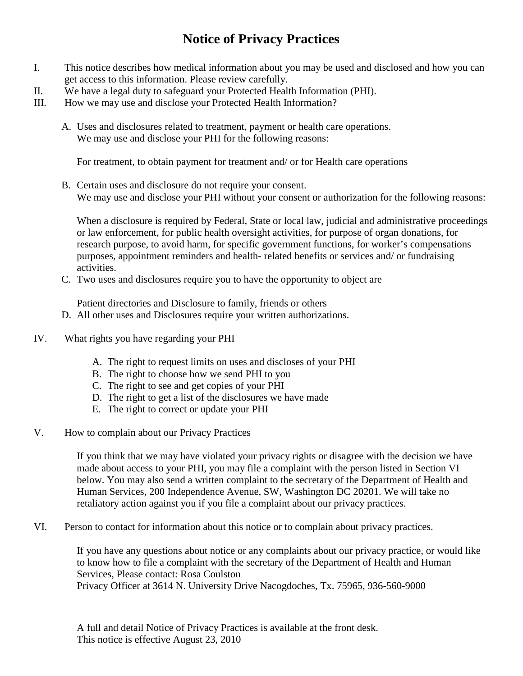## **Notice of Privacy Practices**

- I. This notice describes how medical information about you may be used and disclosed and how you can get access to this information. Please review carefully.
- II. We have a legal duty to safeguard your Protected Health Information (PHI).
- III. How we may use and disclose your Protected Health Information?
	- A. Uses and disclosures related to treatment, payment or health care operations. We may use and disclose your PHI for the following reasons:

For treatment, to obtain payment for treatment and/ or for Health care operations

B. Certain uses and disclosure do not require your consent. We may use and disclose your PHI without your consent or authorization for the following reasons:

When a disclosure is required by Federal, State or local law, judicial and administrative proceedings or law enforcement, for public health oversight activities, for purpose of organ donations, for research purpose, to avoid harm, for specific government functions, for worker's compensations purposes, appointment reminders and health- related benefits or services and/ or fundraising activities.

C. Two uses and disclosures require you to have the opportunity to object are

Patient directories and Disclosure to family, friends or others

- D. All other uses and Disclosures require your written authorizations.
- IV. What rights you have regarding your PHI
	- A. The right to request limits on uses and discloses of your PHI
	- B. The right to choose how we send PHI to you
	- C. The right to see and get copies of your PHI
	- D. The right to get a list of the disclosures we have made
	- E. The right to correct or update your PHI
- V. How to complain about our Privacy Practices

If you think that we may have violated your privacy rights or disagree with the decision we have made about access to your PHI, you may file a complaint with the person listed in Section VI below. You may also send a written complaint to the secretary of the Department of Health and Human Services, 200 Independence Avenue, SW, Washington DC 20201. We will take no retaliatory action against you if you file a complaint about our privacy practices.

VI. Person to contact for information about this notice or to complain about privacy practices.

If you have any questions about notice or any complaints about our privacy practice, or would like to know how to file a complaint with the secretary of the Department of Health and Human Services, Please contact: Rosa Coulston Privacy Officer at 3614 N. University Drive Nacogdoches, Tx. 75965, 936-560-9000

A full and detail Notice of Privacy Practices is available at the front desk. This notice is effective August 23, 2010